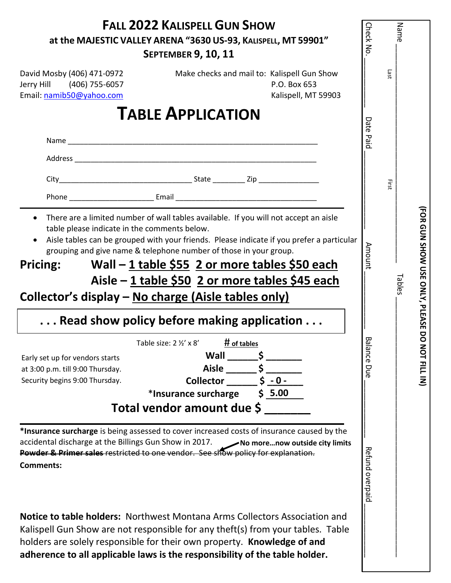| <b>FALL 2022 KALISPELL GUN SHOW</b><br>at the MAJESTIC VALLEY ARENA "3630 US-93, KALISPELL, MT 59901"<br><b>SEPTEMBER 9, 10, 11</b>                                                                                                                                                                                                                                                                                                                                                                                          | <b>Check No</b> | Name                                              |  |
|------------------------------------------------------------------------------------------------------------------------------------------------------------------------------------------------------------------------------------------------------------------------------------------------------------------------------------------------------------------------------------------------------------------------------------------------------------------------------------------------------------------------------|-----------------|---------------------------------------------------|--|
| David Mosby (406) 471-0972<br>Make checks and mail to: Kalispell Gun Show<br>Jerry Hill (406) 755-6057<br>P.O. Box 653<br>Email: namib50@yahoo.com<br>Kalispell, MT 59903                                                                                                                                                                                                                                                                                                                                                    |                 | Last                                              |  |
| <b>TABLE APPLICATION</b>                                                                                                                                                                                                                                                                                                                                                                                                                                                                                                     |                 |                                                   |  |
|                                                                                                                                                                                                                                                                                                                                                                                                                                                                                                                              | Date Paid       |                                                   |  |
|                                                                                                                                                                                                                                                                                                                                                                                                                                                                                                                              |                 |                                                   |  |
|                                                                                                                                                                                                                                                                                                                                                                                                                                                                                                                              |                 | First                                             |  |
| There are a limited number of wall tables available. If you will not accept an aisle<br>table please indicate in the comments below.<br>Aisle tables can be grouped with your friends. Please indicate if you prefer a particular<br>grouping and give name & telephone number of those in your group.<br>Wall – 1 table \$55 2 or more tables \$50 each<br>Pricing:<br>Aisle – 1 table \$50 2 or more tables \$45 each<br>Collector's display – No charge (Aisle tables only)<br>Read show policy before making application | <b>Amount</b>   | <b>FOR GUN SHOW USE ONLY, PLEASE DO</b><br>Tables |  |
| Table size: $2\frac{1}{2}$ ' x 8'<br># of tables<br>Wall<br>Early set up for vendors starts<br><b>Aisle</b><br>at 3:00 p.m. till 9:00 Thursday.                                                                                                                                                                                                                                                                                                                                                                              | ᡂ<br>ance Due   | NOT FILL IN)                                      |  |
| $5 - 0 -$<br>Security begins 9:00 Thursday.<br><b>Collector</b><br>*Insurance surcharge<br>\$5.00<br>Total vendor amount due \$                                                                                                                                                                                                                                                                                                                                                                                              |                 |                                                   |  |
| *Insurance surcharge is being assessed to cover increased costs of insurance caused by the<br>accidental discharge at the Billings Gun Show in 2017.<br>No morenow outside city limits<br><b>Powder &amp; Primer sales restricted to one vendor. See show policy for explanation.</b><br><b>Comments:</b>                                                                                                                                                                                                                    | Refund overpaid |                                                   |  |
| <b>Notice to table holders:</b> Northwest Montana Arms Collectors Association and<br>Kalispell Gun Show are not responsible for any theft(s) from your tables. Table<br>holders are solely responsible for their own property. Knowledge of and<br>adherence to all applicable laws is the responsibility of the table holder.                                                                                                                                                                                               |                 |                                                   |  |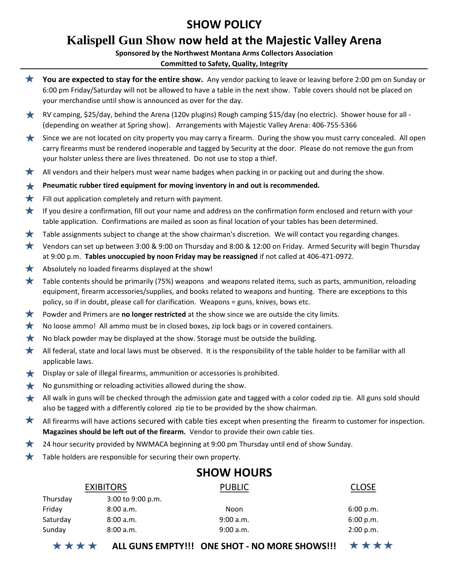### **SHOW POLICY**

## **Kalispell Gun Show now held at the Majestic Valley Arena**

#### **Sponsored by the Northwest Montana Arms Collectors Association**

#### **Committed to Safety, Quality, Integrity**

 $\bigstar$ 

**You are expected to stay for the entire show.** Any vendor packing to leave or leaving before 2:00 pm on Sunday or

|                   |                                                                                                                                                                                                                                                                                                                                 | $\star \star \star \star$ ALL GUNS EMPTY!!! ONE SHOT - NO MORE SHOWS!!!                                                                                                                                            | ****      |  |  |  |
|-------------------|---------------------------------------------------------------------------------------------------------------------------------------------------------------------------------------------------------------------------------------------------------------------------------------------------------------------------------|--------------------------------------------------------------------------------------------------------------------------------------------------------------------------------------------------------------------|-----------|--|--|--|
|                   | Sunday<br>8:00 a.m.                                                                                                                                                                                                                                                                                                             | 9:00 a.m.                                                                                                                                                                                                          | 2:00 p.m. |  |  |  |
|                   | Saturday<br>8:00 a.m.                                                                                                                                                                                                                                                                                                           | 9:00 a.m.                                                                                                                                                                                                          | 6:00 p.m. |  |  |  |
|                   | Friday<br>8:00 a.m.                                                                                                                                                                                                                                                                                                             | Noon                                                                                                                                                                                                               | 6:00 p.m. |  |  |  |
|                   | Thursday<br>3:00 to 9:00 p.m.                                                                                                                                                                                                                                                                                                   |                                                                                                                                                                                                                    |           |  |  |  |
|                   | <b>EXIBITORS</b><br><b>PUBLIC</b><br><b>CLOSE</b>                                                                                                                                                                                                                                                                               |                                                                                                                                                                                                                    |           |  |  |  |
| <b>SHOW HOURS</b> |                                                                                                                                                                                                                                                                                                                                 |                                                                                                                                                                                                                    |           |  |  |  |
|                   | Table holders are responsible for securing their own property.                                                                                                                                                                                                                                                                  |                                                                                                                                                                                                                    |           |  |  |  |
| 大                 |                                                                                                                                                                                                                                                                                                                                 | 24 hour security provided by NWMACA beginning at 9:00 pm Thursday until end of show Sunday.                                                                                                                        |           |  |  |  |
|                   | Magazines should be left out of the firearm. Vendor to provide their own cable ties.                                                                                                                                                                                                                                            |                                                                                                                                                                                                                    |           |  |  |  |
| ★                 | All firearms will have actions secured with cable ties except when presenting the firearm to customer for inspection.                                                                                                                                                                                                           |                                                                                                                                                                                                                    |           |  |  |  |
|                   |                                                                                                                                                                                                                                                                                                                                 | also be tagged with a differently colored zip tie to be provided by the show chairman.                                                                                                                             |           |  |  |  |
| $\bigstar$<br>★   | No gunsmithing or reloading activities allowed during the show.                                                                                                                                                                                                                                                                 | All walk in guns will be checked through the admission gate and tagged with a color coded zip tie. All guns sold should                                                                                            |           |  |  |  |
| $\bigstar$        | Display or sale of illegal firearms, ammunition or accessories is prohibited.                                                                                                                                                                                                                                                   |                                                                                                                                                                                                                    |           |  |  |  |
|                   | applicable laws.                                                                                                                                                                                                                                                                                                                |                                                                                                                                                                                                                    |           |  |  |  |
| ★                 | All federal, state and local laws must be observed. It is the responsibility of the table holder to be familiar with all                                                                                                                                                                                                        |                                                                                                                                                                                                                    |           |  |  |  |
| $\bigstar$        | No black powder may be displayed at the show. Storage must be outside the building.                                                                                                                                                                                                                                             |                                                                                                                                                                                                                    |           |  |  |  |
| ★                 | No loose ammo! All ammo must be in closed boxes, zip lock bags or in covered containers.                                                                                                                                                                                                                                        |                                                                                                                                                                                                                    |           |  |  |  |
| ★                 | Powder and Primers are no longer restricted at the show since we are outside the city limits.                                                                                                                                                                                                                                   |                                                                                                                                                                                                                    |           |  |  |  |
| $\bigstar$        | Table contents should be primarily (75%) weapons and weapons related items, such as parts, ammunition, reloading<br>equipment, firearm accessories/supplies, and books related to weapons and hunting. There are exceptions to this<br>policy, so if in doubt, please call for clarification. Weapons = guns, knives, bows etc. |                                                                                                                                                                                                                    |           |  |  |  |
| ★                 | Absolutely no loaded firearms displayed at the show!                                                                                                                                                                                                                                                                            |                                                                                                                                                                                                                    |           |  |  |  |
|                   | at 9:00 p.m. Tables unoccupied by noon Friday may be reassigned if not called at 406-471-0972.                                                                                                                                                                                                                                  |                                                                                                                                                                                                                    |           |  |  |  |
| $\bigstar$        | Vendors can set up between 3:00 & 9:00 on Thursday and 8:00 & 12:00 on Friday. Armed Security will begin Thursday                                                                                                                                                                                                               |                                                                                                                                                                                                                    |           |  |  |  |
| ★                 | Table assignments subject to change at the show chairman's discretion. We will contact you regarding changes.                                                                                                                                                                                                                   |                                                                                                                                                                                                                    |           |  |  |  |
| ★                 | If you desire a confirmation, fill out your name and address on the confirmation form enclosed and return with your<br>table application. Confirmations are mailed as soon as final location of your tables has been determined.                                                                                                |                                                                                                                                                                                                                    |           |  |  |  |
| ★                 | Fill out application completely and return with payment.                                                                                                                                                                                                                                                                        |                                                                                                                                                                                                                    |           |  |  |  |
| ★                 | Pneumatic rubber tired equipment for moving inventory in and out is recommended.                                                                                                                                                                                                                                                |                                                                                                                                                                                                                    |           |  |  |  |
| ★                 |                                                                                                                                                                                                                                                                                                                                 | All vendors and their helpers must wear name badges when packing in or packing out and during the show.                                                                                                            |           |  |  |  |
| $\bigstar$        | Since we are not located on city property you may carry a firearm. During the show you must carry concealed. All open<br>carry firearms must be rendered inoperable and tagged by Security at the door. Please do not remove the gun from<br>your holster unless there are lives threatened. Do not use to stop a thief.        |                                                                                                                                                                                                                    |           |  |  |  |
| $\star$           |                                                                                                                                                                                                                                                                                                                                 | RV camping, \$25/day, behind the Arena (120v plugins) Rough camping \$15/day (no electric). Shower house for all -<br>(depending on weather at Spring show). Arrangements with Majestic Valley Arena: 406-755-5366 |           |  |  |  |
|                   | your merchandise until show is announced as over for the day.                                                                                                                                                                                                                                                                   | 6:00 pm Friday/Saturday will not be allowed to have a table in the next show. Table covers should not be placed on                                                                                                 |           |  |  |  |